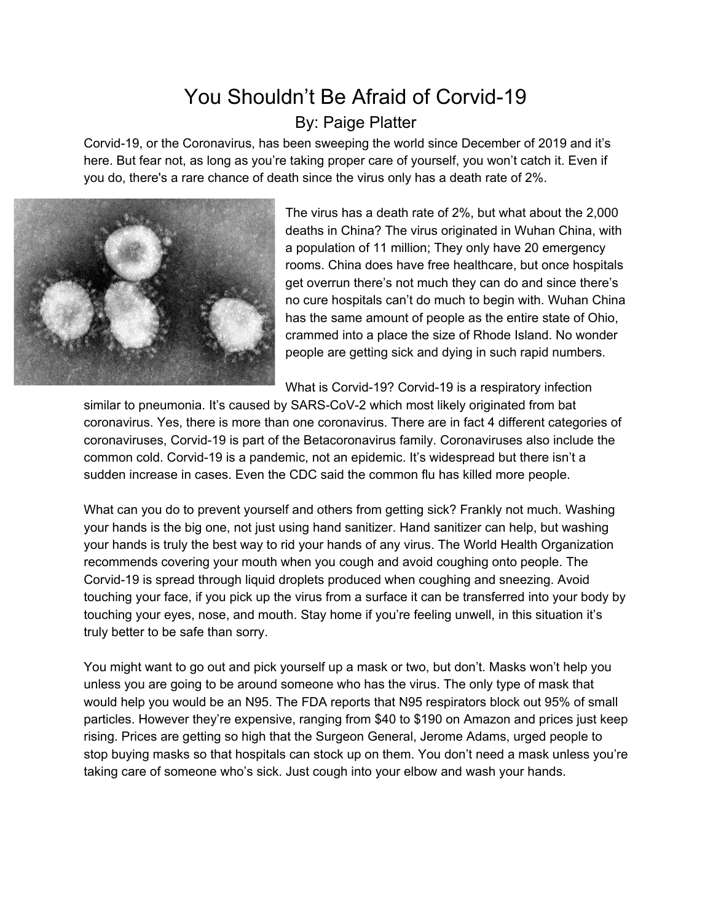## You Shouldn't Be Afraid of Corvid-19 By: Paige Platter

Corvid-19, or the Coronavirus, has been sweeping the world since December of 2019 and it's here. But fear not, as long as you're taking proper care of yourself, you won't catch it. Even if you do, there's a rare chance of death since the virus only has a death rate of 2%.



The virus has a death rate of 2%, but what about the 2,000 deaths in China? The virus originated in Wuhan China, with a population of 11 million; They only have 20 emergency rooms. China does have free healthcare, but once hospitals get overrun there's not much they can do and since there's no cure hospitals can't do much to begin with. Wuhan China has the same amount of people as the entire state of Ohio, crammed into a place the size of Rhode Island. No wonder people are getting sick and dying in such rapid numbers.

What is Corvid-19? Corvid-19 is a respiratory infection

similar to pneumonia. It's caused by SARS-CoV-2 which most likely originated from bat coronavirus. Yes, there is more than one coronavirus. There are in fact 4 different categories of coronaviruses, Corvid-19 is part of the Betacoronavirus family. Coronaviruses also include the common cold. Corvid-19 is a pandemic, not an epidemic. It's widespread but there isn't a sudden increase in cases. Even the CDC said the common flu has killed more people.

What can you do to prevent yourself and others from getting sick? Frankly not much. Washing your hands is the big one, not just using hand sanitizer. Hand sanitizer can help, but washing your hands is truly the best way to rid your hands of any virus. The World Health Organization recommends covering your mouth when you cough and avoid coughing onto people. The Corvid-19 is spread through liquid droplets produced when coughing and sneezing. Avoid touching your face, if you pick up the virus from a surface it can be transferred into your body by touching your eyes, nose, and mouth. Stay home if you're feeling unwell, in this situation it's truly better to be safe than sorry.

You might want to go out and pick yourself up a mask or two, but don't. Masks won't help you unless you are going to be around someone who has the virus. The only type of mask that would help you would be an N95. The FDA reports that N95 respirators block out 95% of small particles. However they're expensive, ranging from \$40 to \$190 on Amazon and prices just keep rising. Prices are getting so high that the Surgeon General, Jerome Adams, urged people to stop buying masks so that hospitals can stock up on them. You don't need a mask unless you're taking care of someone who's sick. Just cough into your elbow and wash your hands.